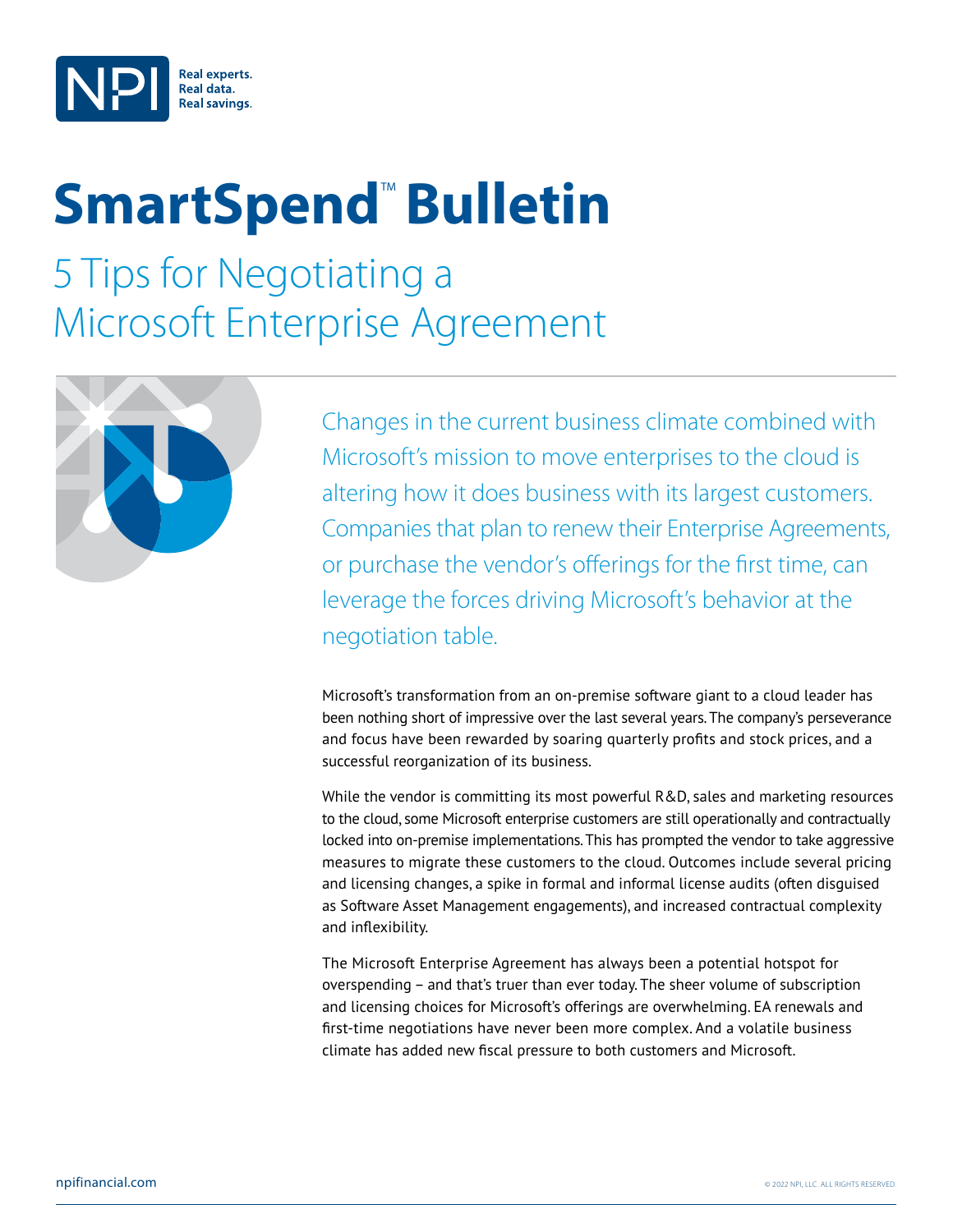

# **SmartSpend<sup>™</sup> Bulletin**

5 Tips for Negotiating a Microsoft Enterprise Agreement



Changes in the current business climate combined with Microsoft's mission to move enterprises to the cloud is altering how it does business with its largest customers. Companies that plan to renew their Enterprise Agreements, or purchase the vendor's offerings for the first time, can leverage the forces driving Microsoft's behavior at the negotiation table.

Microsoft's transformation from an on-premise software giant to a cloud leader has been nothing short of impressive over the last several years. The company's perseverance and focus have been rewarded by soaring quarterly profits and stock prices, and a successful reorganization of its business.

While the vendor is committing its most powerful R&D, sales and marketing resources to the cloud, some Microsoft enterprise customers are still operationally and contractually locked into on-premise implementations. This has prompted the vendor to take aggressive measures to migrate these customers to the cloud. Outcomes include several pricing and licensing changes, a spike in formal and informal license audits (often disguised as Software Asset Management engagements), and increased contractual complexity and inflexibility.

The Microsoft Enterprise Agreement has always been a potential hotspot for overspending – and that's truer than ever today. The sheer volume of subscription and licensing choices for Microsoft's offerings are overwhelming. EA renewals and first-time negotiations have never been more complex. And a volatile business climate has added new fiscal pressure to both customers and Microsoft.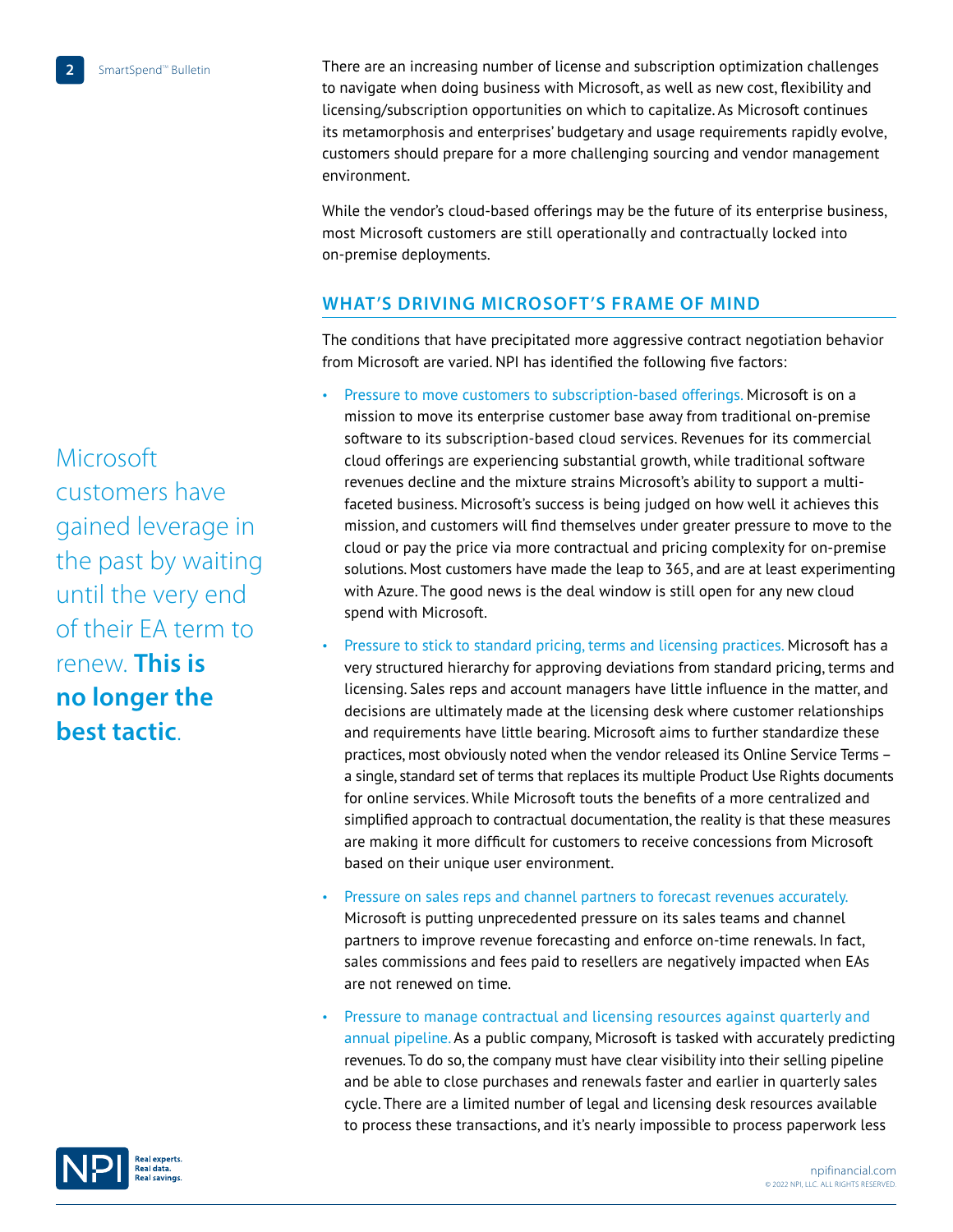There are an increasing number of license and subscription optimization challenges to navigate when doing business with Microsoft, as well as new cost, flexibility and licensing/subscription opportunities on which to capitalize. As Microsoft continues its metamorphosis and enterprises' budgetary and usage requirements rapidly evolve, customers should prepare for a more challenging sourcing and vendor management environment.

While the vendor's cloud-based offerings may be the future of its enterprise business, most Microsoft customers are still operationally and contractually locked into on-premise deployments.

## **What's Driving Microsoft's Frame of Mind**

The conditions that have precipitated more aggressive contract negotiation behavior from Microsoft are varied. NPI has identified the following five factors:

- Pressure to move customers to subscription-based offerings. Microsoft is on a mission to move its enterprise customer base away from traditional on-premise software to its subscription-based cloud services. Revenues for its commercial cloud offerings are experiencing substantial growth, while traditional software revenues decline and the mixture strains Microsoft's ability to support a multifaceted business. Microsoft's success is being judged on how well it achieves this mission, and customers will find themselves under greater pressure to move to the cloud or pay the price via more contractual and pricing complexity for on-premise solutions. Most customers have made the leap to 365, and are at least experimenting with Azure. The good news is the deal window is still open for any new cloud spend with Microsoft.
- Pressure to stick to standard pricing, terms and licensing practices. Microsoft has a very structured hierarchy for approving deviations from standard pricing, terms and licensing. Sales reps and account managers have little influence in the matter, and decisions are ultimately made at the licensing desk where customer relationships and requirements have little bearing. Microsoft aims to further standardize these practices, most obviously noted when the vendor released its Online Service Terms – a single, standard set of terms that replaces its multiple Product Use Rights documents for online services. While Microsoft touts the benefits of a more centralized and simplified approach to contractual documentation, the reality is that these measures are making it more difficult for customers to receive concessions from Microsoft based on their unique user environment.
- Pressure on sales reps and channel partners to forecast revenues accurately. Microsoft is putting unprecedented pressure on its sales teams and channel partners to improve revenue forecasting and enforce on-time renewals. In fact, sales commissions and fees paid to resellers are negatively impacted when EAs are not renewed on time.
- Pressure to manage contractual and licensing resources against quarterly and annual pipeline. As a public company, Microsoft is tasked with accurately predicting revenues. To do so, the company must have clear visibility into their selling pipeline and be able to close purchases and renewals faster and earlier in quarterly sales cycle. There are a limited number of legal and licensing desk resources available to process these transactions, and it's nearly impossible to process paperwork less

Microsoft customers have gained leverage in the past by waiting until the very end of their EA term to renew. **This is no longer the best tactic**.

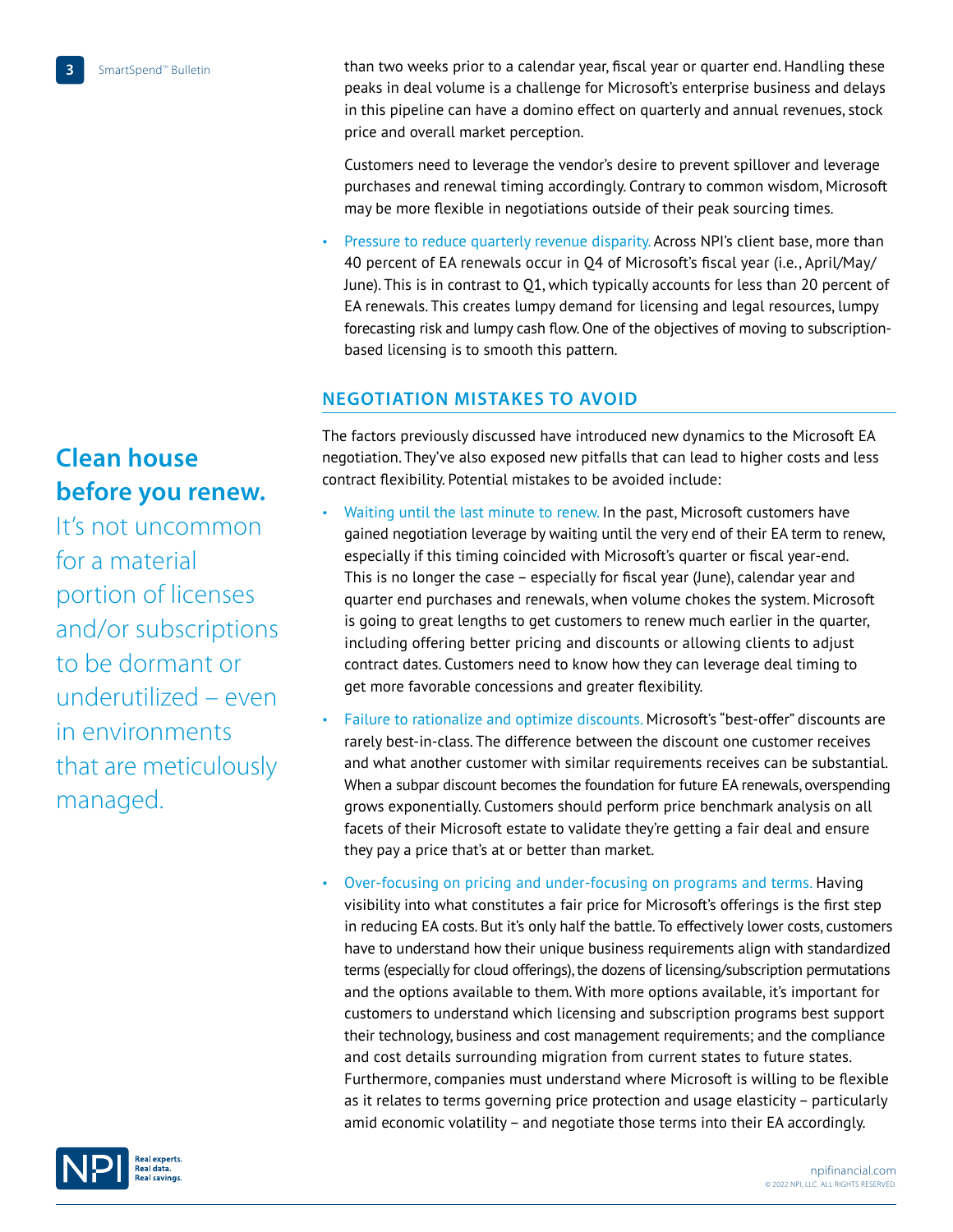**Clean house before you renew.** 

It's not uncommon for a material portion of licenses and/or subscriptions to be dormant or underutilized – even in environments that are meticulously managed.

than two weeks prior to a calendar year, fiscal year or quarter end. Handling these peaks in deal volume is a challenge for Microsoft's enterprise business and delays in this pipeline can have a domino effect on quarterly and annual revenues, stock price and overall market perception.

Customers need to leverage the vendor's desire to prevent spillover and leverage purchases and renewal timing accordingly. Contrary to common wisdom, Microsoft may be more flexible in negotiations outside of their peak sourcing times.

• Pressure to reduce quarterly revenue disparity. Across NPI's client base, more than 40 percent of EA renewals occur in Q4 of Microsoft's fiscal year (i.e., April/May/ June). This is in contrast to Q1, which typically accounts for less than 20 percent of EA renewals. This creates lumpy demand for licensing and legal resources, lumpy forecasting risk and lumpy cash flow. One of the objectives of moving to subscriptionbased licensing is to smooth this pattern.

### **Negotiation Mistakes to Avoid**

The factors previously discussed have introduced new dynamics to the Microsoft EA negotiation. They've also exposed new pitfalls that can lead to higher costs and less contract flexibility. Potential mistakes to be avoided include:

- Waiting until the last minute to renew. In the past, Microsoft customers have gained negotiation leverage by waiting until the very end of their EA term to renew, especially if this timing coincided with Microsoft's quarter or fiscal year-end. This is no longer the case – especially for fiscal year (June), calendar year and quarter end purchases and renewals, when volume chokes the system. Microsoft is going to great lengths to get customers to renew much earlier in the quarter, including offering better pricing and discounts or allowing clients to adjust contract dates. Customers need to know how they can leverage deal timing to get more favorable concessions and greater flexibility.
- Failure to rationalize and optimize discounts. Microsoft's "best-offer" discounts are rarely best-in-class. The difference between the discount one customer receives and what another customer with similar requirements receives can be substantial. When a subpar discount becomes the foundation for future EA renewals, overspending grows exponentially. Customers should perform price benchmark analysis on all facets of their Microsoft estate to validate they're getting a fair deal and ensure they pay a price that's at or better than market.
- Over-focusing on pricing and under-focusing on programs and terms. Having visibility into what constitutes a fair price for Microsoft's offerings is the first step in reducing EA costs. But it's only half the battle. To effectively lower costs, customers have to understand how their unique business requirements align with standardized terms (especially for cloud offerings), the dozens of licensing/subscription permutations and the options available to them. With more options available, it's important for customers to understand which licensing and subscription programs best support their technology, business and cost management requirements; and the compliance and cost details surrounding migration from current states to future states. Furthermore, companies must understand where Microsoft is willing to be flexible as it relates to terms governing price protection and usage elasticity – particularly amid economic volatility – and negotiate those terms into their EA accordingly.

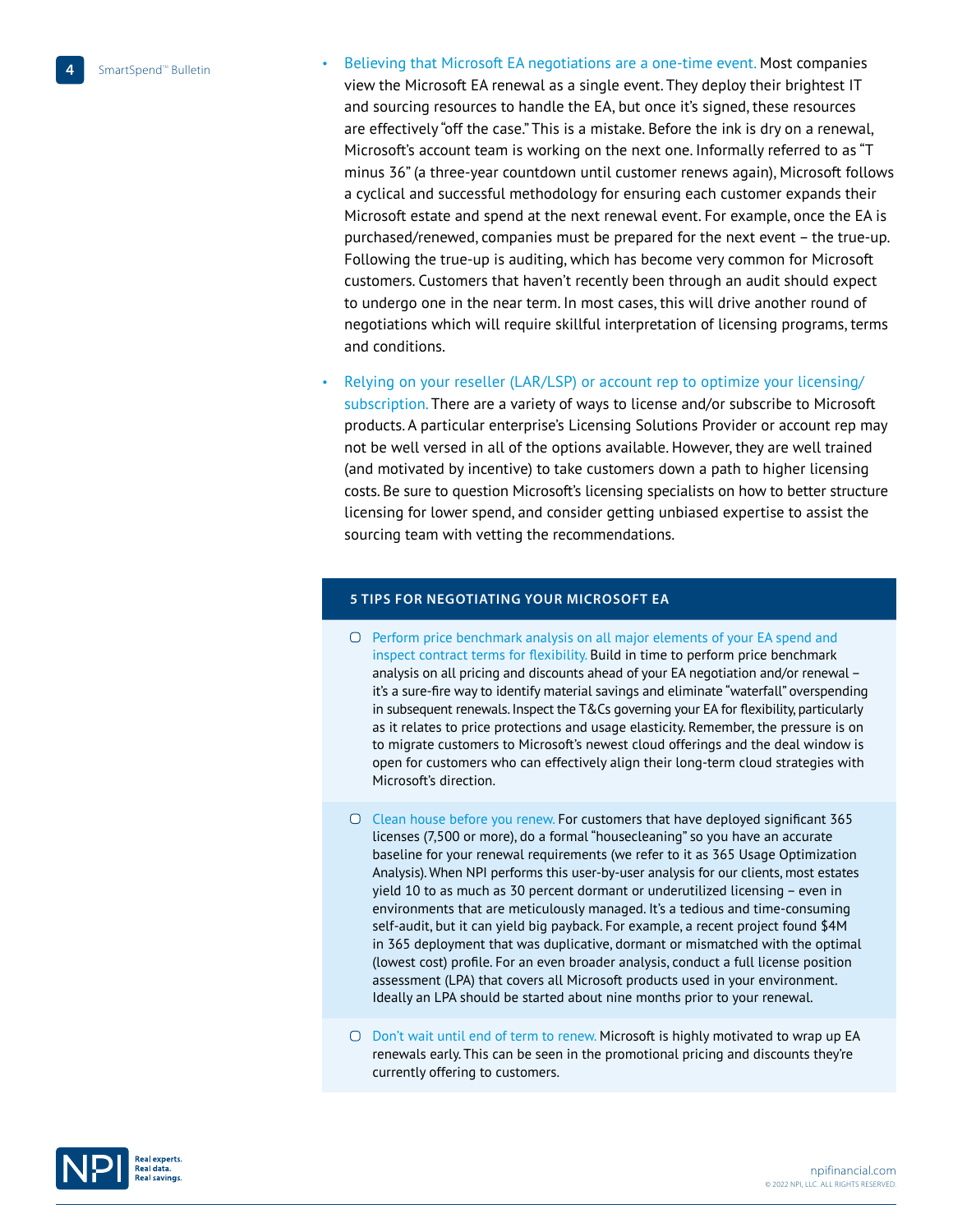- Believing that Microsoft EA negotiations are a one-time event. Most companies view the Microsoft EA renewal as a single event. They deploy their brightest IT and sourcing resources to handle the EA, but once it's signed, these resources are effectively "off the case." This is a mistake. Before the ink is dry on a renewal, Microsoft's account team is working on the next one. Informally referred to as "T minus 36" (a three-year countdown until customer renews again), Microsoft follows a cyclical and successful methodology for ensuring each customer expands their Microsoft estate and spend at the next renewal event. For example, once the EA is purchased/renewed, companies must be prepared for the next event – the true-up. Following the true-up is auditing, which has become very common for Microsoft customers. Customers that haven't recently been through an audit should expect to undergo one in the near term. In most cases, this will drive another round of negotiations which will require skillful interpretation of licensing programs, terms and conditions.
- Relying on your reseller (LAR/LSP) or account rep to optimize your licensing/ subscription. There are a variety of ways to license and/or subscribe to Microsoft products. A particular enterprise's Licensing Solutions Provider or account rep may not be well versed in all of the options available. However, they are well trained (and motivated by incentive) to take customers down a path to higher licensing costs. Be sure to question Microsoft's licensing specialists on how to better structure licensing for lower spend, and consider getting unbiased expertise to assist the sourcing team with vetting the recommendations.

#### **5 Tips for Negotiating YOUR Microsoft EA**

- O Perform price benchmark analysis on all major elements of your EA spend and inspect contract terms for flexibility. Build in time to perform price benchmark analysis on all pricing and discounts ahead of your EA negotiation and/or renewal – it's a sure-fire way to identify material savings and eliminate "waterfall" overspending in subsequent renewals. Inspect the T&Cs governing your EA for flexibility, particularly as it relates to price protections and usage elasticity. Remember, the pressure is on to migrate customers to Microsoft's newest cloud offerings and the deal window is open for customers who can effectively align their long-term cloud strategies with Microsoft's direction.
- Clean house before you renew. For customers that have deployed significant 365 licenses (7,500 or more), do a formal "housecleaning" so you have an accurate baseline for your renewal requirements (we refer to it as 365 Usage Optimization Analysis). When NPI performs this user-by-user analysis for our clients, most estates yield 10 to as much as 30 percent dormant or underutilized licensing – even in environments that are meticulously managed. It's a tedious and time-consuming self-audit, but it can yield big payback. For example, a recent project found \$4M in 365 deployment that was duplicative, dormant or mismatched with the optimal (lowest cost) profile. For an even broader analysis, conduct a full license position assessment (LPA) that covers all Microsoft products used in your environment. Ideally an LPA should be started about nine months prior to your renewal.
- O Don't wait until end of term to renew. Microsoft is highly motivated to wrap up EA renewals early. This can be seen in the promotional pricing and discounts they're currently offering to customers.